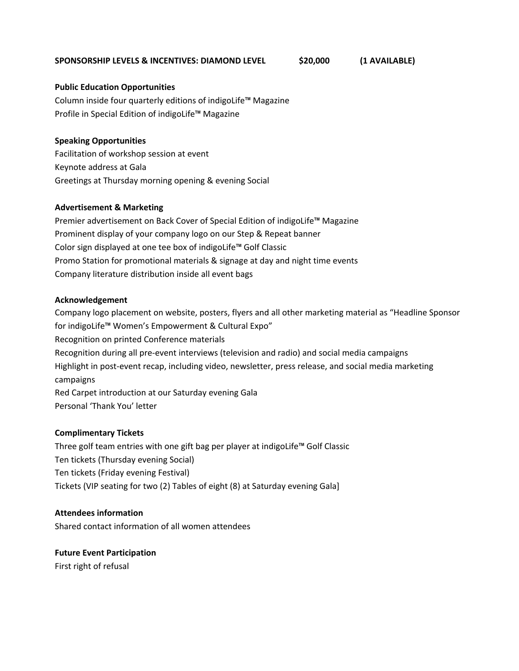## **SPONSORSHIP LEVELS & INCENTIVES: DIAMOND LEVEL \$20,000 (1 AVAILABLE)**

#### **Public Education Opportunities**

Column inside four quarterly editions of indigoLife™ Magazine Profile in Special Edition of indigoLife™ Magazine

## **Speaking Opportunities**

Facilitation of workshop session at event Keynote address at Gala Greetings at Thursday morning opening & evening Social

## **Advertisement & Marketing**

Premier advertisement on Back Cover of Special Edition of indigoLife™ Magazine Prominent display of your company logo on our Step & Repeat banner Color sign displayed at one tee box of indigoLife™ Golf Classic Promo Station for promotional materials & signage at day and night time events Company literature distribution inside all event bags

## **Acknowledgement**

Company logo placement on website, posters, flyers and all other marketing material as "Headline Sponsor for indigoLife™ Women's Empowerment & Cultural Expo" Recognition on printed Conference materials Recognition during all pre-event interviews (television and radio) and social media campaigns Highlight in post-event recap, including video, newsletter, press release, and social media marketing campaigns Red Carpet introduction at our Saturday evening Gala Personal 'Thank You' letter

# **Complimentary Tickets**

Three golf team entries with one gift bag per player at indigoLife™ Golf Classic Ten tickets (Thursday evening Social) Ten tickets (Friday evening Festival) Tickets (VIP seating for two (2) Tables of eight (8) at Saturday evening Gala]

# **Attendees information**

Shared contact information of all women attendees

#### **Future Event Participation**

First right of refusal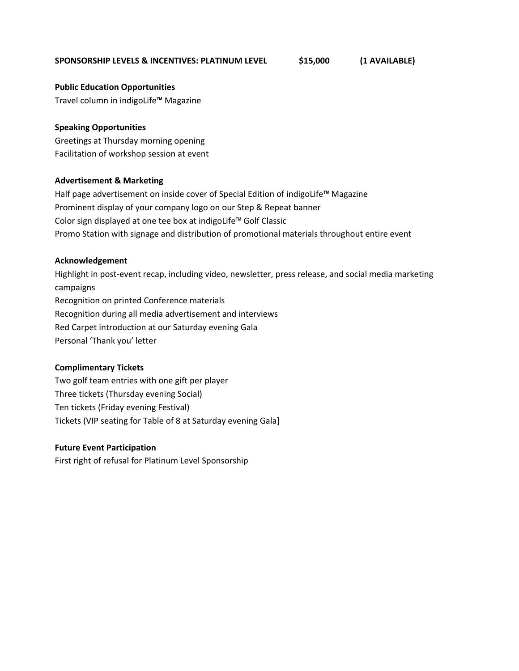## **SPONSORSHIP LEVELS & INCENTIVES: PLATINUM LEVEL \$15,000 (1 AVAILABLE)**

**Public Education Opportunities**

Travel column in indigoLife™ Magazine

## **Speaking Opportunities**

Greetings at Thursday morning opening Facilitation of workshop session at event

## **Advertisement & Marketing**

Half page advertisement on inside cover of Special Edition of indigoLife™ Magazine Prominent display of your company logo on our Step & Repeat banner Color sign displayed at one tee box at indigoLife™ Golf Classic Promo Station with signage and distribution of promotional materials throughout entire event

## **Acknowledgement**

Highlight in post-event recap, including video, newsletter, press release, and social media marketing campaigns Recognition on printed Conference materials Recognition during all media advertisement and interviews Red Carpet introduction at our Saturday evening Gala Personal 'Thank you' letter

# **Complimentary Tickets**

Two golf team entries with one gift per player Three tickets (Thursday evening Social) Ten tickets (Friday evening Festival) Tickets (VIP seating for Table of 8 at Saturday evening Gala]

# **Future Event Participation**

First right of refusal for Platinum Level Sponsorship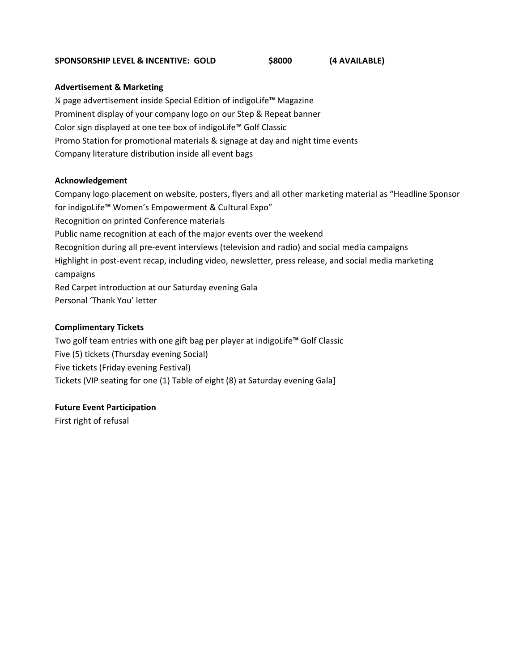## **SPONSORSHIP LEVEL & INCENTIVE: GOLD \$8000 (4 AVAILABLE)**

## **Advertisement & Marketing**

¼ page advertisement inside Special Edition of indigoLife™ Magazine Prominent display of your company logo on our Step & Repeat banner Color sign displayed at one tee box of indigoLife™ Golf Classic Promo Station for promotional materials & signage at day and night time events Company literature distribution inside all event bags

# **Acknowledgement**

Company logo placement on website, posters, flyers and all other marketing material as "Headline Sponsor for indigoLife™ Women's Empowerment & Cultural Expo" Recognition on printed Conference materials Public name recognition at each of the major events over the weekend Recognition during all pre-event interviews (television and radio) and social media campaigns Highlight in post-event recap, including video, newsletter, press release, and social media marketing campaigns Red Carpet introduction at our Saturday evening Gala Personal 'Thank You' letter

# **Complimentary Tickets**

Two golf team entries with one gift bag per player at indigoLife™ Golf Classic Five (5) tickets (Thursday evening Social) Five tickets (Friday evening Festival) Tickets (VIP seating for one (1) Table of eight (8) at Saturday evening Gala]

# **Future Event Participation**

First right of refusal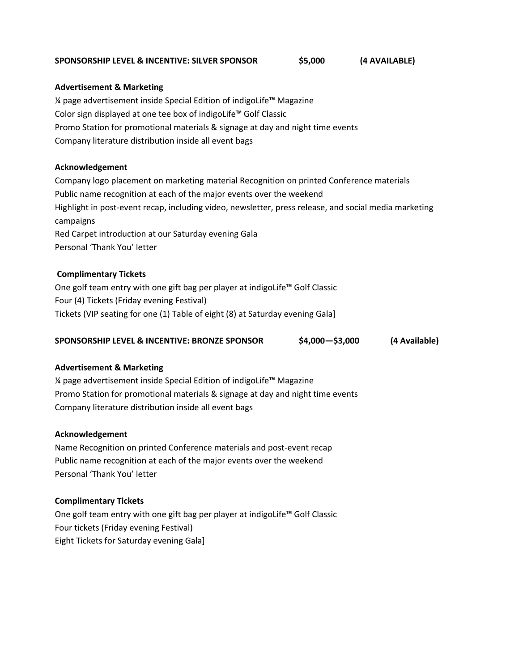#### **SPONSORSHIP LEVEL & INCENTIVE: SILVER SPONSOR \$5,000 (4 AVAILABLE)**

## **Advertisement & Marketing**

¼ page advertisement inside Special Edition of indigoLife™ Magazine Color sign displayed at one tee box of indigoLife™ Golf Classic Promo Station for promotional materials & signage at day and night time events Company literature distribution inside all event bags

## **Acknowledgement**

Company logo placement on marketing material Recognition on printed Conference materials Public name recognition at each of the major events over the weekend Highlight in post-event recap, including video, newsletter, press release, and social media marketing campaigns Red Carpet introduction at our Saturday evening Gala Personal 'Thank You' letter

# **Complimentary Tickets**

One golf team entry with one gift bag per player at indigoLife™ Golf Classic Four (4) Tickets (Friday evening Festival) Tickets (VIP seating for one (1) Table of eight (8) at Saturday evening Gala]

| SPONSORSHIP LEVEL & INCENTIVE: BRONZE SPONSOR | $$4,000 - $3,000$ | (4 Available) |
|-----------------------------------------------|-------------------|---------------|
|                                               |                   |               |

# **Advertisement & Marketing**

¼ page advertisement inside Special Edition of indigoLife™ Magazine Promo Station for promotional materials & signage at day and night time events Company literature distribution inside all event bags

#### **Acknowledgement**

Name Recognition on printed Conference materials and post-event recap Public name recognition at each of the major events over the weekend Personal 'Thank You' letter

# **Complimentary Tickets**

One golf team entry with one gift bag per player at indigoLife™ Golf Classic Four tickets (Friday evening Festival) Eight Tickets for Saturday evening Gala]